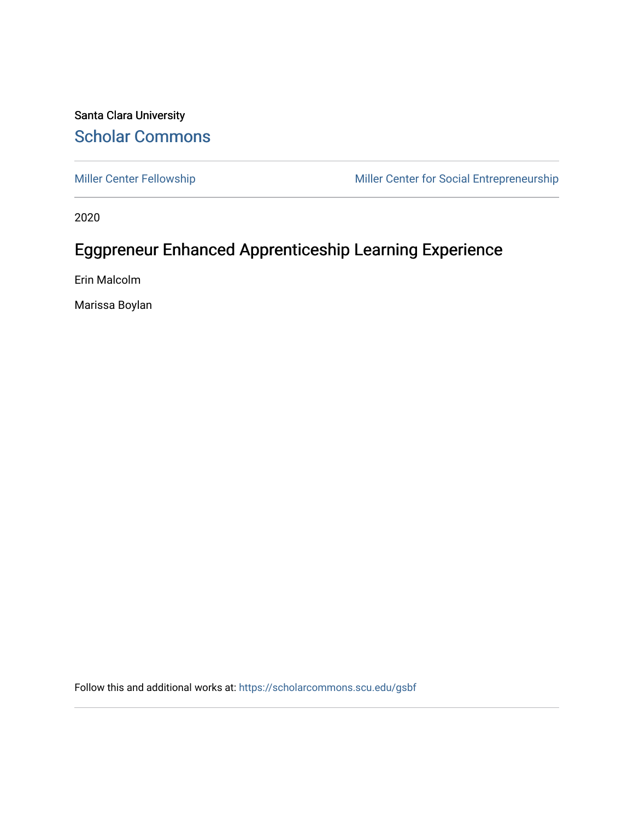### Santa Clara University [Scholar Commons](https://scholarcommons.scu.edu/)

[Miller Center Fellowship](https://scholarcommons.scu.edu/gsbf) Miller Center for Social Entrepreneurship

2020

## Eggpreneur Enhanced Apprenticeship Learning Experience

Erin Malcolm

Marissa Boylan

Follow this and additional works at: [https://scholarcommons.scu.edu/gsbf](https://scholarcommons.scu.edu/gsbf?utm_source=scholarcommons.scu.edu%2Fgsbf%2F148&utm_medium=PDF&utm_campaign=PDFCoverPages)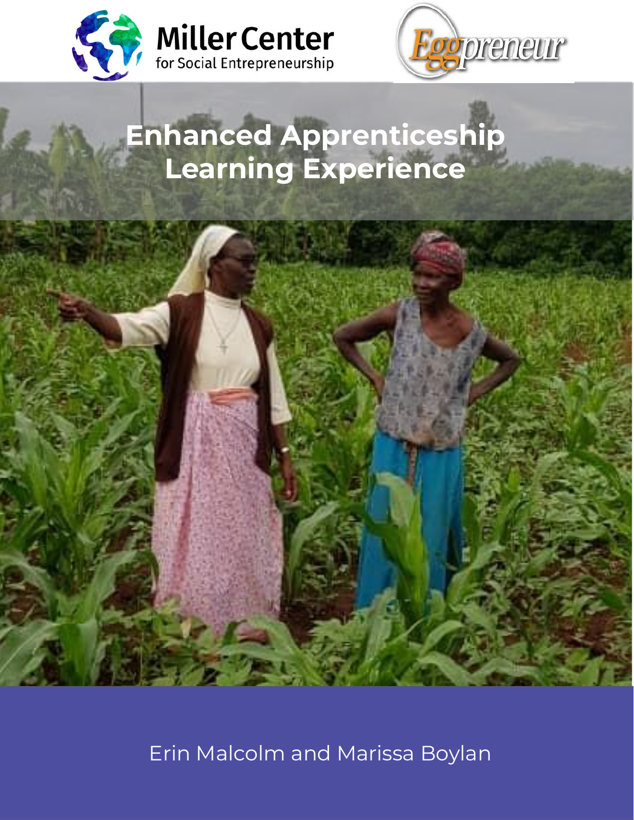



## **Enhanced Apprenticeship Learning Experience**



Erin Malcolm and Marissa Boylan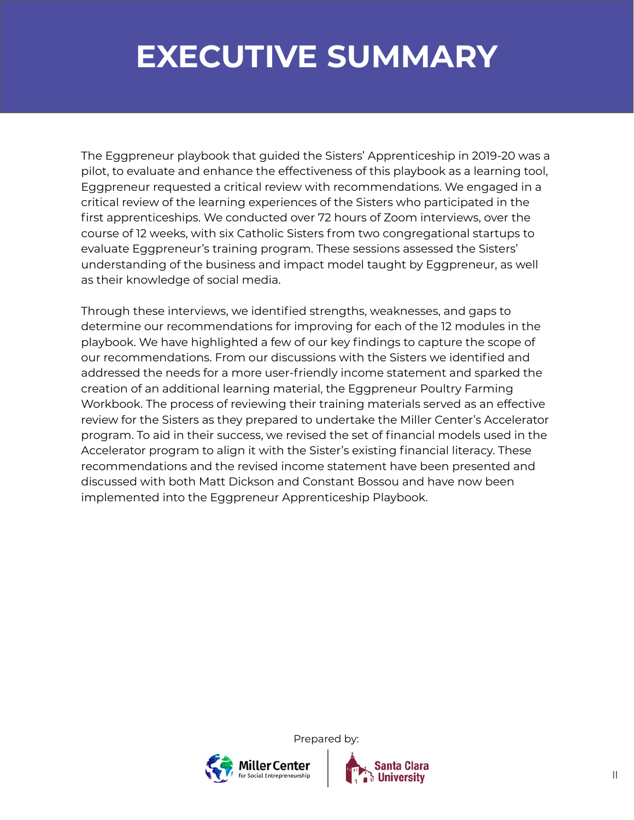## **EXECUTIVE SUMMARY**

The Eggpreneur playbook that guided the Sisters' Apprenticeship in 2019-20 was a pilot, to evaluate and enhance the effectiveness of this playbook as a learning tool, Eggpreneur requested a critical review with recommendations. We engaged in a critical review of the learning experiences of the Sisters who participated in the first apprenticeships. We conducted over 72 hours of Zoom interviews, over the course of 12 weeks, with six Catholic Sisters from two congregational startups to evaluate Eggpreneur's training program. These sessions assessed the Sisters' understanding of the business and impact model taught by Eggpreneur, as well as their knowledge of social media.

Through these interviews, we identified strengths, weaknesses, and gaps to determine our recommendations for improving for each of the 12 modules in the playbook. We have highlighted a few of our key findings to capture the scope of our recommendations. From our discussions with the Sisters we identified and addressed the needs for a more user-friendly income statement and sparked the creation of an additional learning material, the Eggpreneur Poultry Farming Workbook. The process of reviewing their training materials served as an effective review for the Sisters as they prepared to undertake the Miller Center's Accelerator program. To aid in their success, we revised the set of financial models used in the Accelerator program to align it with the Sister's existing financial literacy. These recommendations and the revised income statement have been presented and discussed with both Matt Dickson and Constant Bossou and have now been implemented into the Eggpreneur Apprenticeship Playbook.



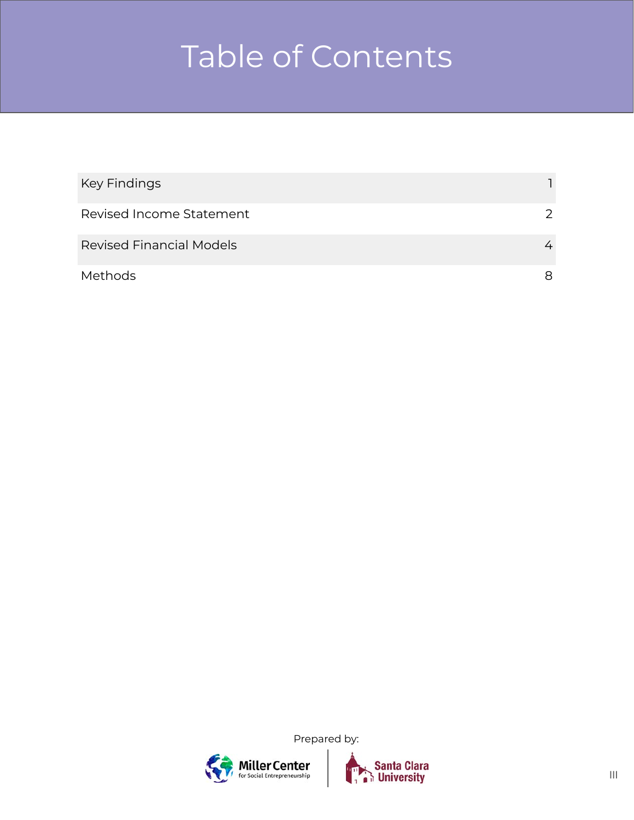# Table of Contents

| Key Findings                    |   |
|---------------------------------|---|
| Revised Income Statement        |   |
| <b>Revised Financial Models</b> | 4 |
| Methods                         | 8 |





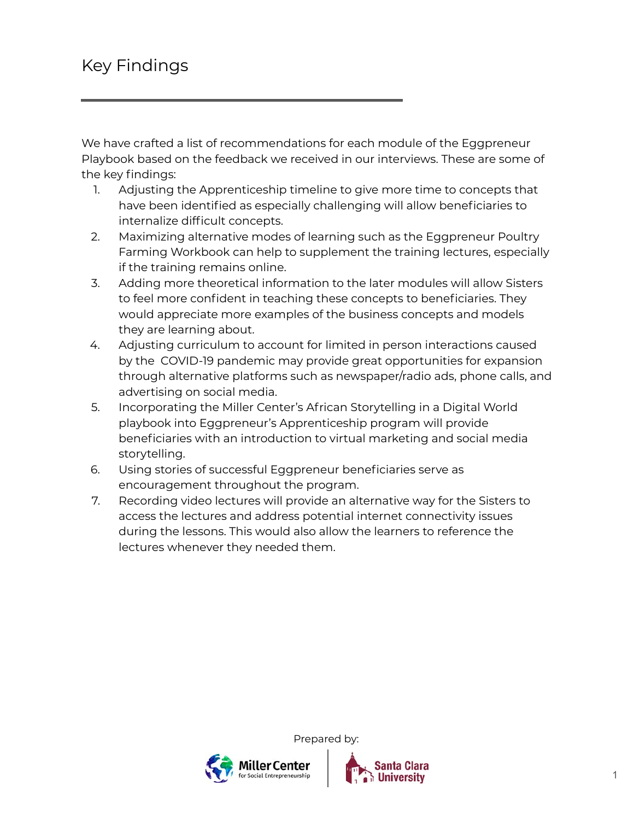We have crafted a list of recommendations for each module of the Eggpreneur Playbook based on the feedback we received in our interviews. These are some of the key findings:

- 1. Adjusting the Apprenticeship timeline to give more time to concepts that have been identified as especially challenging will allow beneficiaries to internalize difficult concepts.
- 2. Maximizing alternative modes of learning such as the Eggpreneur Poultry Farming Workbook can help to supplement the training lectures, especially if the training remains online.
- 3. Adding more theoretical information to the later modules will allow Sisters to feel more confident in teaching these concepts to beneficiaries. They would appreciate more examples of the business concepts and models they are learning about.
- 4. Adjusting curriculum to account for limited in person interactions caused by the COVID-19 pandemic may provide great opportunities for expansion through alternative platforms such as newspaper/radio ads, phone calls, and advertising on social media.
- 5. Incorporating the Miller Center's African Storytelling in a Digital World playbook into Eggpreneur's Apprenticeship program will provide beneficiaries with an introduction to virtual marketing and social media storytelling.
- 6. Using stories of successful Eggpreneur beneficiaries serve as encouragement throughout the program.
- 7. Recording video lectures will provide an alternative way for the Sisters to access the lectures and address potential internet connectivity issues during the lessons. This would also allow the learners to reference the lectures whenever they needed them.

Prepared by:

Ailler Center

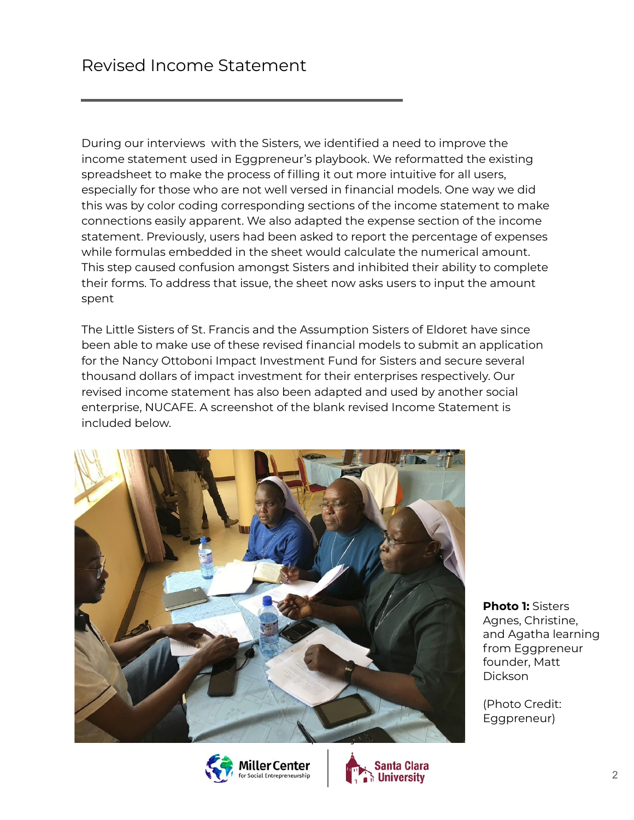During our interviews with the Sisters, we identified a need to improve the income statement used in Eggpreneur's playbook. We reformatted the existing spreadsheet to make the process of filling it out more intuitive for all users, especially for those who are not well versed in financial models. One way we did this was by color coding corresponding sections of the income statement to make connections easily apparent. We also adapted the expense section of the income statement. Previously, users had been asked to report the percentage of expenses while formulas embedded in the sheet would calculate the numerical amount. This step caused confusion amongst Sisters and inhibited their ability to complete their forms. To address that issue, the sheet now asks users to input the amount spent

The Little Sisters of St. Francis and the Assumption Sisters of Eldoret have since been able to make use of these revised financial models to submit an application for the Nancy Ottoboni Impact Investment Fund for Sisters and secure several thousand dollars of impact investment for their enterprises respectively. Our revised income statement has also been adapted and used by another social enterprise, NUCAFE. A screenshot of the blank revised Income Statement is included below.







**Photo 1:** Sisters Agnes, Christine, and Agatha learning from Eggpreneur founder, Matt Dickson

(Photo Credit: Eggpreneur)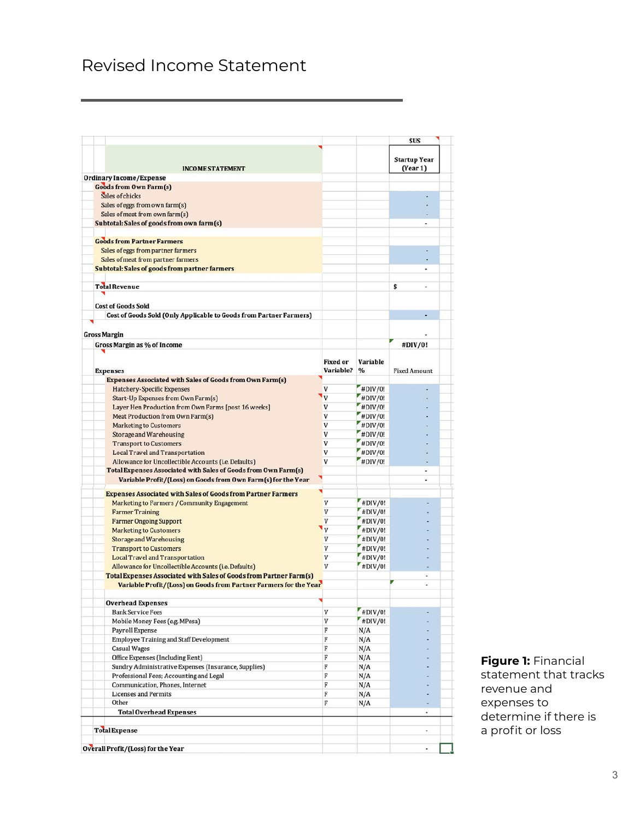## Revised Income Statement

|                                                                                                                               |                 |               | <b>SUS</b>               |  |
|-------------------------------------------------------------------------------------------------------------------------------|-----------------|---------------|--------------------------|--|
|                                                                                                                               |                 |               | <b>Startup Year</b>      |  |
| <b>INCOME STATEMENT</b>                                                                                                       |                 |               | (Year1)                  |  |
| <b>Ordinary Income/Expense</b>                                                                                                |                 |               |                          |  |
| <b>Goods from Own Farm(s)</b>                                                                                                 |                 |               |                          |  |
| Sales of chicks                                                                                                               |                 |               |                          |  |
| Sales of eggs from own farm(s)<br>Sales of meat from own farm(s)                                                              |                 |               |                          |  |
| Subtotal: Sales of goods from own farm(s)                                                                                     |                 |               | $\overline{a}$           |  |
|                                                                                                                               |                 |               |                          |  |
| <b>Goods from Partner Farmers</b>                                                                                             |                 |               |                          |  |
| Sales of eggs from partner farmers                                                                                            |                 |               |                          |  |
| Sales of meat from partner farmers                                                                                            |                 |               |                          |  |
| <b>Subtotal: Sales of goods from partner farmers</b>                                                                          |                 |               |                          |  |
| <b>Total Revenue</b>                                                                                                          |                 |               | \$<br>٠                  |  |
| <b>Cost of Goods Sold</b>                                                                                                     |                 |               |                          |  |
| Cost of Goods Sold (Only Applicable to Goods from Partner Farmers)                                                            |                 |               |                          |  |
|                                                                                                                               |                 |               |                          |  |
| <b>Gross Margin</b>                                                                                                           |                 |               |                          |  |
| Gross Margin as % of Income                                                                                                   |                 |               | #DIV/0!                  |  |
|                                                                                                                               | <b>Fixed or</b> | Variable      |                          |  |
| <b>Expenses</b>                                                                                                               | Variable?       | $\frac{9}{6}$ | <b>Fixed Amount</b>      |  |
| <b>Expenses Associated with Sales of Goods from Own Farm(s)</b>                                                               |                 |               |                          |  |
| <b>Hatchery-Specific Expenses</b>                                                                                             | V               | #DIV/0!       |                          |  |
| Start-Up Expenses from Own Farm(s)                                                                                            | ٦v              | #DIV/0!       |                          |  |
| Layer Hen Production from Own Farms [post 16 weeks]                                                                           | V               | #DIV/0!       |                          |  |
| Meat Production from Own Farm(s)                                                                                              | V               | $*$ DIV/0!    |                          |  |
| <b>Marketing to Customers</b>                                                                                                 | V               | #DIV/0!       |                          |  |
| Storage and Warehousing                                                                                                       | v               | #DIV/0!       |                          |  |
| <b>Transport to Customers</b>                                                                                                 | V               | #DIV/0!       |                          |  |
| <b>Local Travel and Transportation</b>                                                                                        | V               | #DIV/0!       |                          |  |
| Allowance for Uncollectible Accounts (i.e. Defaults)<br><b>Total Expenses Associated with Sales of Goods from Own Farm(s)</b> | v               | #DIV/0!       |                          |  |
| Variable Profit/(Loss) on Goods from Own Farm(s) for the Year                                                                 |                 |               | $\overline{\phantom{a}}$ |  |
|                                                                                                                               |                 |               |                          |  |
| <b>Expenses Associated with Sales of Goods from Partner Farmers</b>                                                           | V               | $H$ DIV/0!    |                          |  |
| <b>Marketing to Farmers / Community Engagement</b><br><b>Farmer Training</b>                                                  | V               | #DIV/0!       |                          |  |
| <b>Farmer Ongoing Support</b>                                                                                                 | V               | $*$ DIV/0!    |                          |  |
| <b>Marketing to Customers</b>                                                                                                 | $\mathbf{v}$    | #DIV/0!       |                          |  |
| <b>Storage and Warehousing</b>                                                                                                | V               | #DIV/0!       |                          |  |
| <b>Transport to Customers</b>                                                                                                 | V               | #DIV/0!       |                          |  |
| <b>Local Travel and Transportation</b>                                                                                        | V               | #DIV/0!       |                          |  |
| Allowance for Uncollectible Accounts (i.e. Defaults)                                                                          | $\mathbf{V}$    | #DIV/0!       |                          |  |
| <b>Total Expenses Associated with Sales of Goods from Partner Farm(s)</b>                                                     |                 |               | ٠                        |  |
| Variable Profit/(Loss) on Goods from Partner Farmers for the Year                                                             |                 |               | u                        |  |
| <b>Overhead Expenses</b>                                                                                                      |                 |               |                          |  |
| <b>Bank Service Fees</b>                                                                                                      | V               | $H$ DIV/0!    |                          |  |
| Mobile Money Fees (e.g. MPesa)                                                                                                | V               | #DIV/0!       |                          |  |
| Payroll Expense                                                                                                               | F               | N/A           |                          |  |
| <b>Employee Training and Staff Development</b>                                                                                | F               | N/A           |                          |  |
| <b>Casual Wages</b>                                                                                                           | F               | N/A           |                          |  |
| Office Expenses (Including Rent)                                                                                              | F               | N/A           |                          |  |
| Sundry Administrative Expenses (Insurance, Supplies)                                                                          | F               | N/A           |                          |  |
| Professional Fees; Accounting and Legal                                                                                       | F               | N/A           |                          |  |
| Communication, Phones, Internet                                                                                               | F               | N/A           |                          |  |
| <b>Licenses and Permits</b>                                                                                                   | F               | N/A           |                          |  |
| Other                                                                                                                         | F               | N/A           |                          |  |
| <b>Total Overhead Expenses</b>                                                                                                |                 |               | ٠                        |  |
| <b>Total Expense</b>                                                                                                          |                 |               | $\bullet$                |  |
|                                                                                                                               |                 |               |                          |  |
| Overall Profit/(Loss) for the Year                                                                                            |                 |               | ۰                        |  |

**Figure 1:** Financial statement that tracks revenue and expenses to determine if there is a profit or loss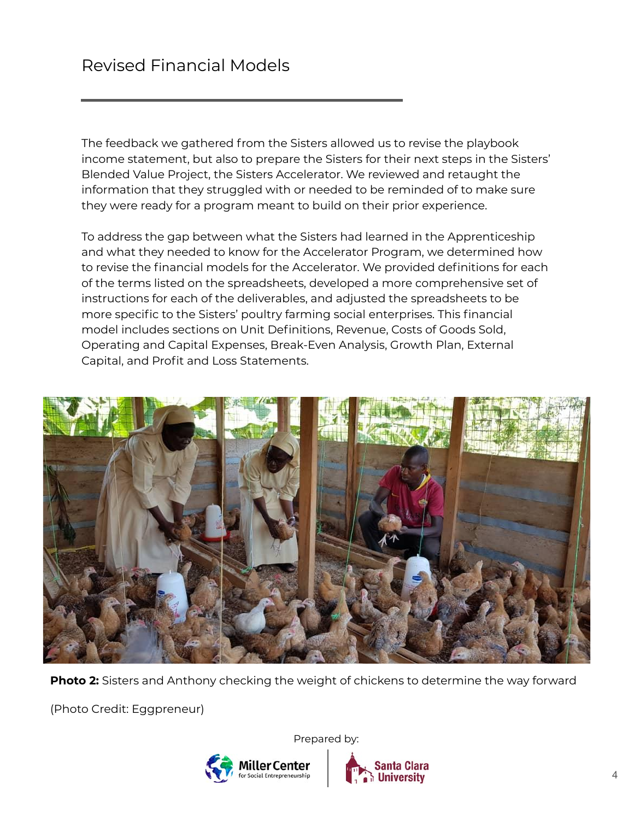The feedback we gathered from the Sisters allowed us to revise the playbook income statement, but also to prepare the Sisters for their next steps in the Sisters' Blended Value Project, the Sisters Accelerator. We reviewed and retaught the information that they struggled with or needed to be reminded of to make sure they were ready for a program meant to build on their prior experience.

To address the gap between what the Sisters had learned in the Apprenticeship and what they needed to know for the Accelerator Program, we determined how to revise the financial models for the Accelerator. We provided definitions for each of the terms listed on the spreadsheets, developed a more comprehensive set of instructions for each of the deliverables, and adjusted the spreadsheets to be more specific to the Sisters' poultry farming social enterprises. This financial model includes sections on Unit Definitions, Revenue, Costs of Goods Sold, Operating and Capital Expenses, Break-Even Analysis, Growth Plan, External Capital, and Profit and Loss Statements.



**Photo 2:** Sisters and Anthony checking the weight of chickens to determine the way forward

(Photo Credit: Eggpreneur)



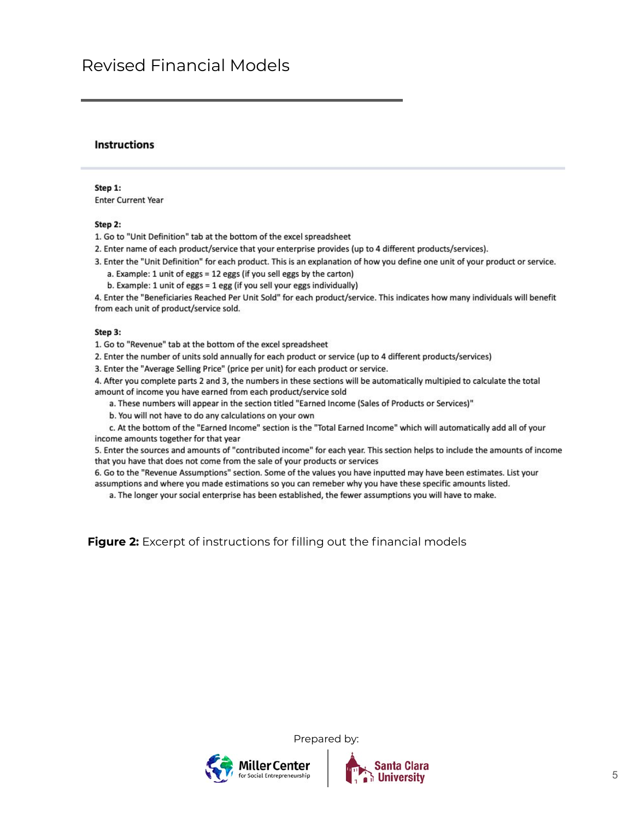### Revised Financial Models

#### **Instructions**

#### Step 1:

**Enter Current Year** 

#### Step 2:

1. Go to "Unit Definition" tab at the bottom of the excel spreadsheet

- 2. Enter name of each product/service that your enterprise provides (up to 4 different products/services).
- 3. Enter the "Unit Definition" for each product. This is an explanation of how you define one unit of your product or service.
	- a. Example: 1 unit of eggs = 12 eggs (if you sell eggs by the carton)
	- b. Example: 1 unit of eggs = 1 egg (if you sell your eggs individually)

4. Enter the "Beneficiaries Reached Per Unit Sold" for each product/service. This indicates how many individuals will benefit from each unit of product/service sold.

#### Step 3:

1. Go to "Revenue" tab at the bottom of the excel spreadsheet

2. Enter the number of units sold annually for each product or service (up to 4 different products/services)

3. Enter the "Average Selling Price" (price per unit) for each product or service.

4. After you complete parts 2 and 3, the numbers in these sections will be automatically multipied to calculate the total amount of income you have earned from each product/service sold

a. These numbers will appear in the section titled "Earned Income (Sales of Products or Services)"

b. You will not have to do any calculations on your own

c. At the bottom of the "Earned Income" section is the "Total Earned Income" which will automatically add all of your income amounts together for that year

5. Enter the sources and amounts of "contributed income" for each year. This section helps to include the amounts of income that you have that does not come from the sale of your products or services

6. Go to the "Revenue Assumptions" section. Some of the values you have inputted may have been estimates. List your assumptions and where you made estimations so you can remeber why you have these specific amounts listed.

a. The longer your social enterprise has been established, the fewer assumptions you will have to make.

**Figure 2:** Excerpt of instructions for filling out the financial models



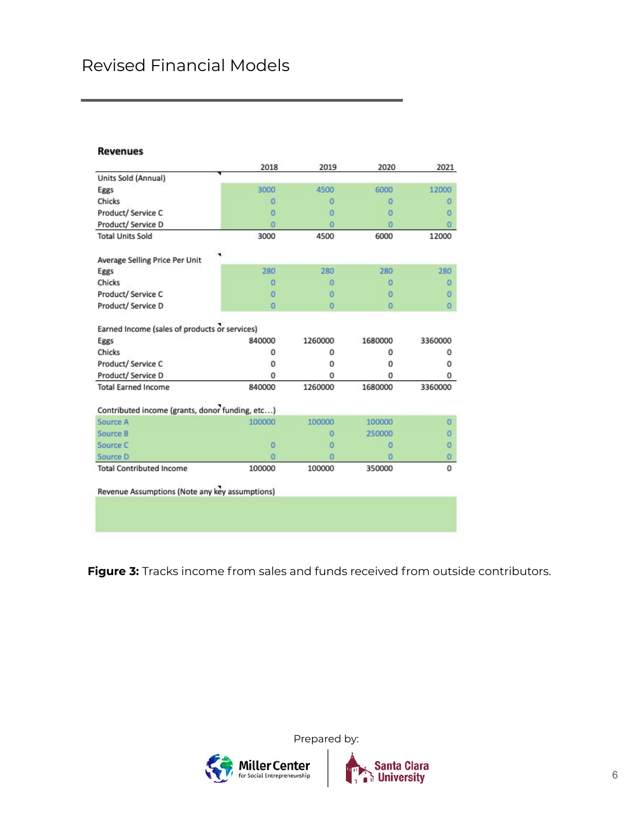## Revised Financial Models

#### **Revenues**

|                                                 | 2018           | 2019           | 2020           | 2021           |
|-------------------------------------------------|----------------|----------------|----------------|----------------|
| Units Sold (Annual)                             |                |                |                |                |
| Eggs                                            | 3000           | 4500           | 6000           | 12000          |
| Chicks                                          | o              | o              | o              | O              |
| Product/ Service C                              | $\overline{0}$ | $\Omega$       | $\Omega$       | $\Omega$       |
| Product/ Service D                              | Ō              | ō              | $\Omega$       | $\Omega$       |
| <b>Total Units Sold</b>                         | 3000           | 4500           | 6000           | 12000          |
| Average Selling Price Per Unit                  |                |                |                |                |
| Eggs                                            | 280            | 280            | 280            | 280            |
| Chicks                                          | $\Omega$       | o              | $\Omega$       | $\Omega$       |
| Product/ Service C                              | $\Omega$       | $\Omega$       | o              | $\Omega$       |
| Product/ Service D                              | $\overline{0}$ | $\overline{0}$ | $\overline{0}$ | $\overline{0}$ |
| Earned Income (sales of products or services)   |                |                |                |                |
| Eggs                                            | 840000         | 1260000        | 1680000        | 3360000        |
| Chicks                                          | 0              | 0              | 0              | 0              |
| Product/ Service C                              | 0              | o              | o              | o              |
| Product/ Service D                              | o              | o              | o              | o              |
| <b>Total Earned Income</b>                      | 840000         | 1260000        | 1680000        | 3360000        |
| Contributed income (grants, donor funding, etc) |                |                |                |                |
| Source A                                        | 100000         | 100000         | 100000         | $\Omega$       |
| Source B                                        |                | $\Omega$       | 250000         | O              |
| Source C                                        | $\overline{0}$ | ō              | $\overline{0}$ | $\Omega$       |
| Source D                                        | $\overline{0}$ | $\Omega$       | $\Omega$       | $\Omega$       |
| <b>Total Contributed Income</b>                 |                | 100000         |                | $\mathbf 0$    |

Revenue Assumptions (Note any key assumptions)

**Figure 3:** Tracks income from sales and funds received from outside contributors.



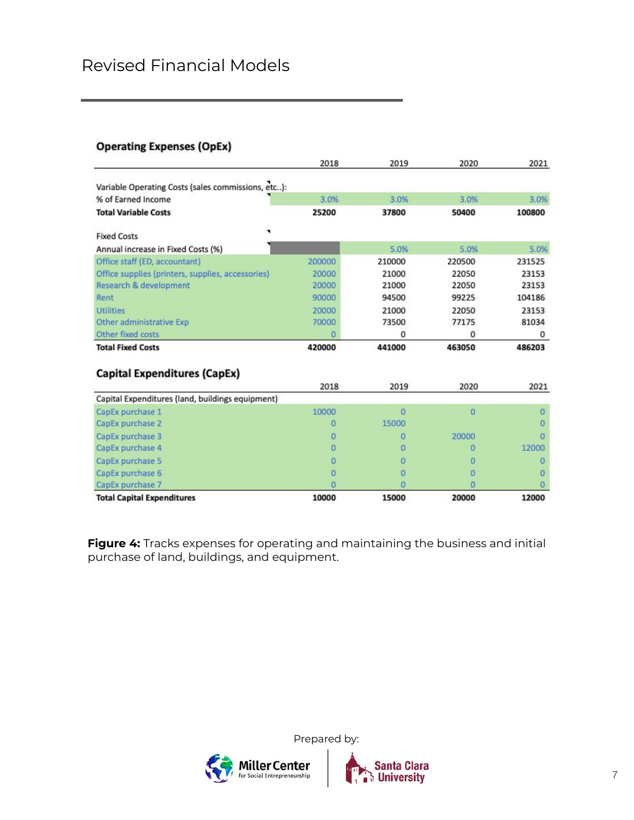## Revised Financial Models

### **Operating Expenses (OpEx)**

|                                                    | 2018   | 2019   | 2020   | 2021   |
|----------------------------------------------------|--------|--------|--------|--------|
| Variable Operating Costs (sales commissions, etc): |        |        |        |        |
| % of Earned Income                                 | 3.0%   | 3.0%   | 3.0%   | 3.0%   |
| <b>Total Variable Costs</b>                        | 25200  | 37800  | 50400  | 100800 |
| л<br><b>Fixed Costs</b>                            |        |        |        |        |
| Annual increase in Fixed Costs (%)                 |        | 5.0%   | 5.0%   | 5.0%   |
| Office staff (ED, accountant)                      | 200000 | 210000 | 220500 | 231525 |
| Office supplies (printers, supplies, accessories)  | 20000  | 21000  | 22050  | 23153  |
| Research & development                             | 20000  | 21000  | 22050  | 23153  |
| Rent                                               | 90000  | 94500  | 99225  | 104186 |
| <b>Utilities</b>                                   | 20000  | 21000  | 22050  | 23153  |
| Other administrative Exp                           | 70000  | 73500  | 77175  | 81034  |
| Other fixed costs                                  | ō      | 0      | 0      | 0      |
| <b>Total Fixed Costs</b>                           | 420000 | 441000 | 463050 | 486203 |
| <b>Capital Expenditures (CapEx)</b>                |        |        |        |        |
|                                                    | 2018   | 2019   | 2020   | 2021   |
| Capital Expenditures (land, buildings equipment)   |        |        |        |        |
| CapEx purchase 1                                   | 10000  | n      | o      | n      |
| CapEx purchase 2                                   | ٥      | 15000  |        | Ω      |
| CapEx purchase 3                                   | Ω      | Ŭ      | 20000  |        |
| CapEx purchase 4                                   | ο      | 0      | n      | 12000  |
| CapEx purchase 5                                   | 0      | 0      | o      | o      |
| CapEx purchase 6                                   | Ω      | Ŭ      | o      |        |
| CapEx purchase 7                                   |        | o      | n      |        |
| <b>Total Capital Expenditures</b>                  | 10000  | 15000  | 20000  | 12000  |

**Figure 4:** Tracks expenses for operating and maintaining the business and initial purchase of land, buildings, and equipment.